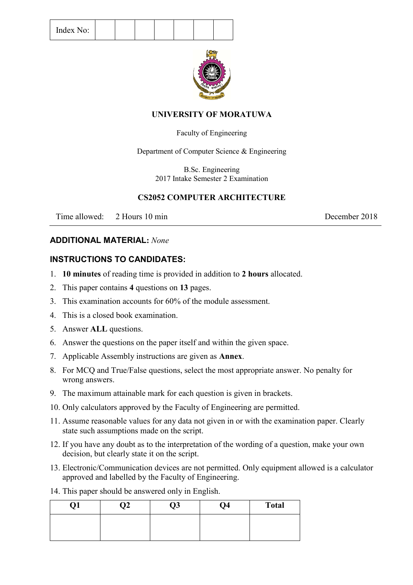|  | Index No: |  |  |  |  |
|--|-----------|--|--|--|--|
|  |           |  |  |  |  |



### **UNIVERSITY OF MORATUWA**

### Faculty of Engineering

Department of Computer Science & Engineering

B.Sc. Engineering 2017 Intake Semester 2 Examination

# **CS2052 COMPUTER ARCHITECTURE**

Time allowed: 2 Hours 10 min December 2018

### **ADDITIONAL MATERIAL:** *None*

### **INSTRUCTIONS TO CANDIDATES:**

- 1. **10 minutes** of reading time is provided in addition to **2 hours** allocated.
- 2. This paper contains **4** questions on **13** pages.
- 3. This examination accounts for 60% of the module assessment.
- 4. This is a closed book examination.
- 5. Answer **ALL** questions.
- 6. Answer the questions on the paper itself and within the given space.
- 7. Applicable Assembly instructions are given as **Annex**.
- 8. For MCQ and True/False questions, select the most appropriate answer. No penalty for wrong answers.
- 9. The maximum attainable mark for each question is given in brackets.
- 10. Only calculators approved by the Faculty of Engineering are permitted.
- 11. Assume reasonable values for any data not given in or with the examination paper. Clearly state such assumptions made on the script.
- 12. If you have any doubt as to the interpretation of the wording of a question, make your own decision, but clearly state it on the script.
- 13. Electronic/Communication devices are not permitted. Only equipment allowed is a calculator approved and labelled by the Faculty of Engineering.
- 14. This paper should be answered only in English.

| ₹T. | $\overline{2}$ | Q3 | Q <sub>4</sub> | <b>Total</b> |
|-----|----------------|----|----------------|--------------|
|     |                |    |                |              |
|     |                |    |                |              |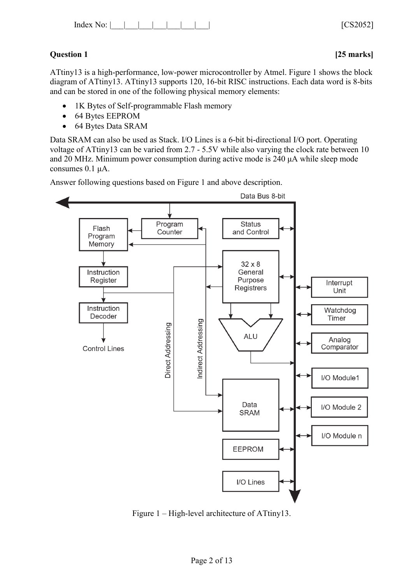# **Question 1 [25 marks]**

ATtiny13 is a high-performance, low-power microcontroller by Atmel. Figure 1 shows the block diagram of ATtiny13. ATtiny13 supports 120, 16-bit RISC instructions. Each data word is 8-bits and can be stored in one of the following physical memory elements:

- 1K Bytes of Self-programmable Flash memory
- 64 Bytes EEPROM
- 64 Bytes Data SRAM

Data SRAM can also be used as Stack. I/O Lines is a 6-bit bi-directional I/O port. Operating voltage of ATtiny13 can be varied from 2.7 - 5.5V while also varying the clock rate between 10 and 20 MHz. Minimum power consumption during active mode is 240 μA while sleep mode consumes 0.1 μA.

Answer following questions based on Figure 1 and above description.



Figure 1 – High-level architecture of ATtiny13.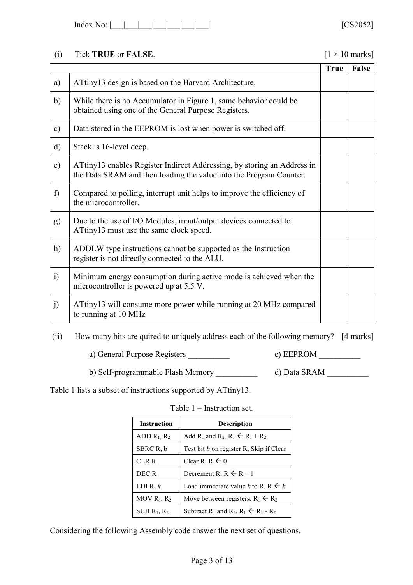| No:<br>Index |  |  |  |  |  |  |  |  |
|--------------|--|--|--|--|--|--|--|--|
|--------------|--|--|--|--|--|--|--|--|

# (i) Tick **TRUE** or **FALSE**. [1 × 10 marks]

|               |                                                                                                                                               | <b>True</b> | False |
|---------------|-----------------------------------------------------------------------------------------------------------------------------------------------|-------------|-------|
| a)            | ATtiny13 design is based on the Harvard Architecture.                                                                                         |             |       |
| b)            | While there is no Accumulator in Figure 1, same behavior could be<br>obtained using one of the General Purpose Registers.                     |             |       |
| $\mathbf{c})$ | Data stored in the EEPROM is lost when power is switched off.                                                                                 |             |       |
| $\mathbf{d}$  | Stack is 16-level deep.                                                                                                                       |             |       |
| e)            | ATtiny13 enables Register Indirect Addressing, by storing an Address in<br>the Data SRAM and then loading the value into the Program Counter. |             |       |
| f             | Compared to polling, interrupt unit helps to improve the efficiency of<br>the microcontroller.                                                |             |       |
| g)            | Due to the use of I/O Modules, input/output devices connected to<br>ATtiny13 must use the same clock speed.                                   |             |       |
| h)            | ADDLW type instructions cannot be supported as the Instruction<br>register is not directly connected to the ALU.                              |             |       |
| $\ddot{1}$    | Minimum energy consumption during active mode is achieved when the<br>microcontroller is powered up at 5.5 V.                                 |             |       |
| j)            | ATtiny13 will consume more power while running at 20 MHz compared<br>to running at 10 MHz                                                     |             |       |

(ii) How many bits are quired to uniquely address each of the following memory? [4 marks]

a) General Purpose Registers \_\_\_\_\_\_\_\_\_\_\_\_ c) EEPROM \_\_\_\_\_\_\_\_

b) Self-programmable Flash Memory \_\_\_\_\_\_\_\_\_\_\_ d) Data SRAM \_\_\_\_\_\_\_\_\_\_

Table 1 lists a subset of instructions supported by ATtiny13.

| <b>Instruction</b> | <b>Description</b>                                                                                       |
|--------------------|----------------------------------------------------------------------------------------------------------|
| ADD $R_1, R_2$     | Add R <sub>1</sub> and R <sub>2</sub> . R <sub>1</sub> $\leftarrow$ R <sub>1</sub> + R <sub>2</sub>      |
| SBRC R, b          | Test bit <i>b</i> on register R, Skip if Clear                                                           |
| CLR R              | Clear R. R $\leftarrow$ 0                                                                                |
| DEC R              | Decrement R. R $\leftarrow$ R $-1$                                                                       |
| LDI R, $k$         | Load immediate value k to R. R $\leftarrow k$                                                            |
| MOV $R_1, R_2$     | Move between registers. $R_1 \leftarrow R_2$                                                             |
| $SUB R_1, R_2$     | Subtract R <sub>1</sub> and R <sub>2</sub> . R <sub>1</sub> $\leftarrow$ R <sub>1</sub> - R <sub>2</sub> |

Table 1 – Instruction set.

Considering the following Assembly code answer the next set of questions.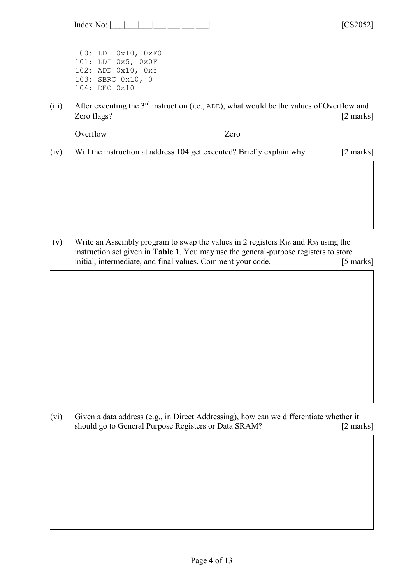| Index |  |  |  |  |  |  |  |  |
|-------|--|--|--|--|--|--|--|--|
|-------|--|--|--|--|--|--|--|--|

100: LDI 0x10, 0xF0 101: LDI 0x5, 0x0F 102: ADD 0x10, 0x5 103: SBRC 0x10, 0 104: DEC 0x10

(iii) After executing the  $3<sup>rd</sup>$  instruction (i.e., ADD), what would be the values of Overflow and Zero flags? [2 marks]

 $[CS2052]$ 

Overflow Zero  $\overline{z}$ 

(iv) Will the instruction at address 104 get executed? Briefly explain why. [2 marks]

(v) Write an Assembly program to swap the values in 2 registers  $R_{10}$  and  $R_{20}$  using the instruction set given in **Table 1**. You may use the general-purpose registers to store initial, intermediate, and final values. Comment your code. [5 marks]

(vi) Given a data address (e.g., in Direct Addressing), how can we differentiate whether it should go to General Purpose Registers or Data SRAM? [2 marks]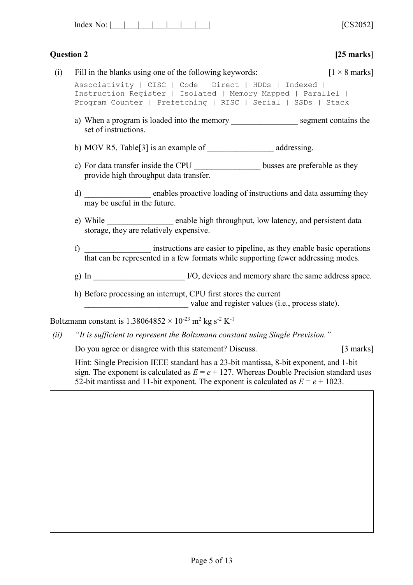| Index<br>J. |  |  |  |  |  |  |  |  |
|-------------|--|--|--|--|--|--|--|--|
|-------------|--|--|--|--|--|--|--|--|

 $[CS2052]$ 

|      | <b>Question 2</b>                                                                                                                                                                       | $[25$ marks]                 |
|------|-----------------------------------------------------------------------------------------------------------------------------------------------------------------------------------------|------------------------------|
| (i)  | Fill in the blanks using one of the following keywords:                                                                                                                                 | $[1 \times 8 \text{ marks}]$ |
|      | Associativity   CISC   Code   Direct   HDDs   Indexed  <br>Instruction Register   Isolated   Memory Mapped   Parallel  <br>Program Counter   Prefetching   RISC   Serial   SSDs   Stack |                              |
|      | a) When a program is loaded into the memory _______________________ segment contains the<br>set of instructions.                                                                        |                              |
|      |                                                                                                                                                                                         |                              |
|      | c) For data transfer inside the CPU ___________________ busses are preferable as they<br>provide high throughput data transfer.                                                         |                              |
|      | d) ____________________ enables proactive loading of instructions and data assuming they<br>may be useful in the future.                                                                |                              |
|      | e) While ________________ enable high throughput, low latency, and persistent data<br>storage, they are relatively expensive.                                                           |                              |
|      | instructions are easier to pipeline, as they enable basic operations<br>that can be represented in a few formats while supporting fewer addressing modes.<br>f)                         |                              |
|      |                                                                                                                                                                                         |                              |
|      | h) Before processing an interrupt, CPU first stores the current<br>value and register values (i.e., process state).                                                                     |                              |
|      | Boltzmann constant is $1.38064852 \times 10^{-23}$ m <sup>2</sup> kg s <sup>-2</sup> K <sup>-1</sup>                                                                                    |                              |
| (ii) | "It is sufficient to represent the Boltzmann constant using Single Prevision."                                                                                                          |                              |
|      | Do you agree or disagree with this statement? Discuss.                                                                                                                                  | $[3 \text{ marks}]$          |
|      | Hint: Single Precision IEEE standard has a 23-bit mantissa, 8-bit exponent, and 1-bit<br>sign. The exponent is calculated as $E = e + 127$ . Whereas Double Precision standard uses     |                              |

Page 5 of 13

52-bit mantissa and 11-bit exponent. The exponent is calculated as  $E = e + 1023$ .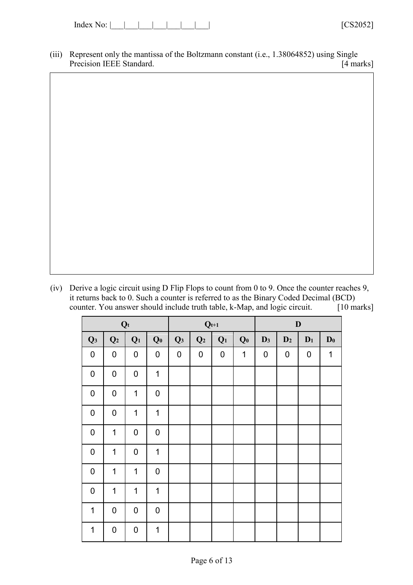| Index<br>،∩∙ |  |
|--------------|--|
|--------------|--|

(iii) Represent only the mantissa of the Boltzmann constant (i.e., 1.38064852) using Single Precision IEEE Standard. [4 marks]

(iv) Derive a logic circuit using D Flip Flops to count from 0 to 9. Once the counter reaches 9, it returns back to 0. Such a counter is referred to as the Binary Coded Decimal (BCD) counter. You answer should include truth table, k-Map, and logic circuit. [10 marks]

|                | $\mathbf{Q}\mathbf{t}$ |                  |                |                | $\mathbf{Q}_{t+1}$ |                |                |                | $\mathbf D$    |                  |                |
|----------------|------------------------|------------------|----------------|----------------|--------------------|----------------|----------------|----------------|----------------|------------------|----------------|
| Q <sub>3</sub> | Q <sub>2</sub>         | $Q_1$            | Q <sub>0</sub> | Q <sub>3</sub> | Q <sub>2</sub>     | Q <sub>1</sub> | Q <sub>0</sub> | D <sub>3</sub> | D <sub>2</sub> | $D_1$            | $\mathbf{D}_0$ |
| $\pmb{0}$      | $\mathbf 0$            | $\boldsymbol{0}$ | $\pmb{0}$      | $\pmb{0}$      | $\pmb{0}$          | $\mathbf 0$    | 1              | $\pmb{0}$      | $\mathbf 0$    | $\boldsymbol{0}$ | 1              |
| $\mathbf 0$    | $\mathbf 0$            | $\boldsymbol{0}$ | 1              |                |                    |                |                |                |                |                  |                |
| $\mathbf 0$    | $\pmb{0}$              | 1                | 0              |                |                    |                |                |                |                |                  |                |
| $\mathbf 0$    | $\overline{0}$         | $\mathbf 1$      | $\mathbf 1$    |                |                    |                |                |                |                |                  |                |
| $\mathbf 0$    | $\mathbf 1$            | $\boldsymbol{0}$ | $\pmb{0}$      |                |                    |                |                |                |                |                  |                |
| $\mathbf 0$    | 1                      | $\boldsymbol{0}$ | 1              |                |                    |                |                |                |                |                  |                |
| $\pmb{0}$      | $\mathbf 1$            | 1                | 0              |                |                    |                |                |                |                |                  |                |
| $\mathbf 0$    | 1                      | 1                | 1              |                |                    |                |                |                |                |                  |                |
| $\mathbf 1$    | $\pmb{0}$              | $\boldsymbol{0}$ | $\pmb{0}$      |                |                    |                |                |                |                |                  |                |
| $\mathbf 1$    | $\pmb{0}$              | $\boldsymbol{0}$ | 1              |                |                    |                |                |                |                |                  |                |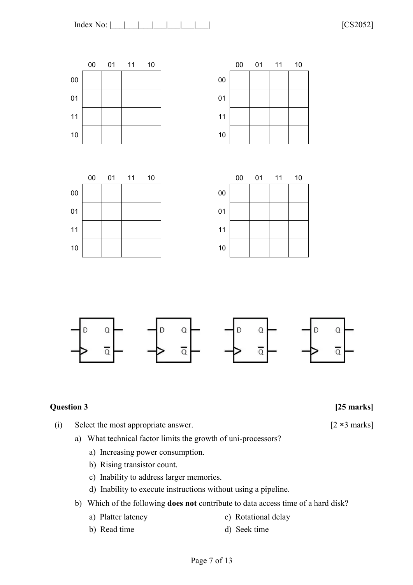





**Question 3 [25 marks]**

- (i) Select the most appropriate answer. [2 ×3 marks]
	- a) What technical factor limits the growth of uni-processors?
		- a) Increasing power consumption.
		- b) Rising transistor count.
		- c) Inability to address larger memories.
		- d) Inability to execute instructions without using a pipeline.
	- b) Which of the following **does not** contribute to data access time of a hard disk?
		- a) Platter latency c) Rotational delay
- - b) Read time d) Seek time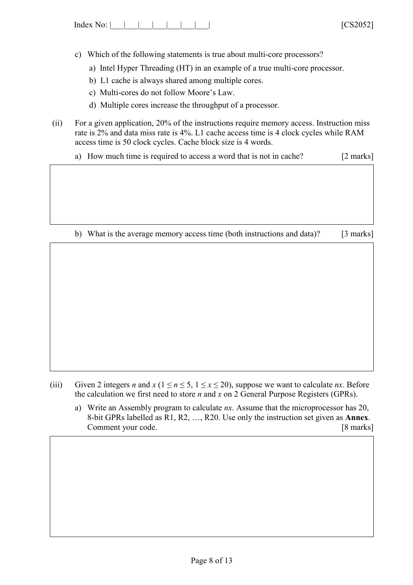| Index No: $\vert$ $\vert$ |  |  |  |  |  |  |  | 1000000 |  |
|---------------------------|--|--|--|--|--|--|--|---------|--|
|---------------------------|--|--|--|--|--|--|--|---------|--|

- c) Which of the following statements is true about multi-core processors?
	- a) Intel Hyper Threading (HT) in an example of a true multi-core processor.
	- b) L1 cache is always shared among multiple cores.
	- c) Multi-cores do not follow Moore's Law.
	- d) Multiple cores increase the throughput of a processor.
- (ii) For a given application, 20% of the instructions require memory access. Instruction miss rate is 2% and data miss rate is 4%. L1 cache access time is 4 clock cycles while RAM access time is 50 clock cycles. Cache block size is 4 words.

a) How much time is required to access a word that is not in cache? [2 marks]

b) What is the average memory access time (both instructions and data)? [3 marks]

- (iii) Given 2 integers *n* and  $x$  ( $1 \le n \le 5$ ,  $1 \le x \le 20$ ), suppose we want to calculate *nx*. Before the calculation we first need to store *n* and *x* on 2 General Purpose Registers (GPRs).
	- a) Write an Assembly program to calculate *nx*. Assume that the microprocessor has 20, 8-bit GPRs labelled as R1, R2, …, R20. Use only the instruction set given as **Annex**. Comment your code. [8 marks]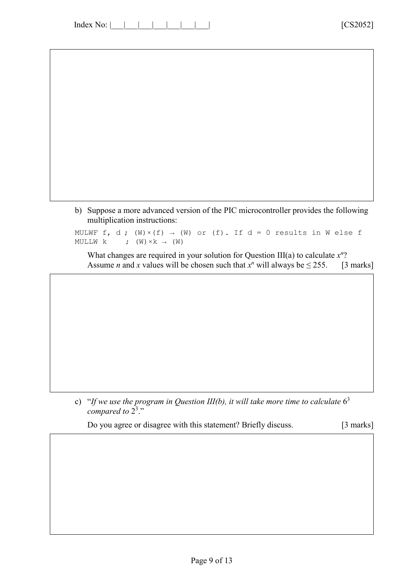Index No: |\_\_\_|\_\_\_|\_\_\_|\_\_\_|\_\_\_\_|\_\_\_\_| \_\_\_\_| [CS2052]

b) Suppose a more advanced version of the PIC microcontroller provides the following multiplication instructions:

MULWF f, d;  $(W) \times (f) \rightarrow (W)$  or  $(f)$ . If  $d = 0$  results in W else f MULLW k ;  $(W) \times k \rightarrow (W)$ 

What changes are required in your solution for Question III(a) to calculate *x n* ? Assume *n* and *x* values will be chosen such that  $x^n$  will always be  $\leq$  255. [3 marks]

c) "If we use the program in Question III(b), it will take more time to calculate  $6<sup>3</sup>$ compared to 2<sup>3</sup>."

Do you agree or disagree with this statement? Briefly discuss. [3 marks]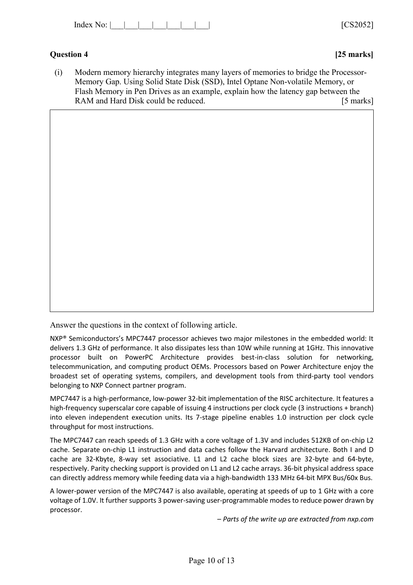| Index<br>No: |  |  |  |  |  |  |  |  | 1000000<br>$\mathbf{v}$ |
|--------------|--|--|--|--|--|--|--|--|-------------------------|
|--------------|--|--|--|--|--|--|--|--|-------------------------|

# **Question 4 [25 marks]**

(i) Modern memory hierarchy integrates many layers of memories to bridge the Processor-Memory Gap. Using Solid State Disk (SSD), Intel Optane Non-volatile Memory, or Flash Memory in Pen Drives as an example, explain how the latency gap between the RAM and Hard Disk could be reduced. [5 marks]

Answer the questions in the context of following article.

NXP® Semiconductors's MPC7447 processor achieves two major milestones in the embedded world: It delivers 1.3 GHz of performance. It also dissipates less than 10W while running at 1GHz. This innovative processor built on PowerPC Architecture provides best-in-class solution for networking, telecommunication, and computing product OEMs. Processors based on Power Architecture enjoy the broadest set of operating systems, compilers, and development tools from third-party tool vendors belonging to NXP Connect partner program.

MPC7447 is a high-performance, low-power 32-bit implementation of the RISC architecture. It features a high-frequency superscalar core capable of issuing 4 instructions per clock cycle (3 instructions + branch) into eleven independent execution units. Its 7-stage pipeline enables 1.0 instruction per clock cycle throughput for most instructions.

The MPC7447 can reach speeds of 1.3 GHz with a core voltage of 1.3V and includes 512KB of on-chip L2 cache. Separate on-chip L1 instruction and data caches follow the Harvard architecture. Both I and D cache are 32-Kbyte, 8-way set associative. L1 and L2 cache block sizes are 32-byte and 64-byte, respectively. Parity checking support is provided on L1 and L2 cache arrays. 36-bit physical address space can directly address memory while feeding data via a high-bandwidth 133 MHz 64-bit MPX Bus/60x Bus.

A lower-power version of the MPC7447 is also available, operating at speeds of up to 1 GHz with a core voltage of 1.0V. It further supports 3 power-saving user-programmable modes to reduce power drawn by processor.

– *Parts of the write up are extracted from nxp.com*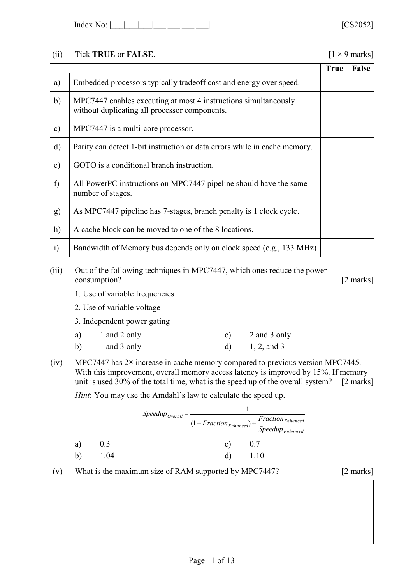| Index No: |  |  |  |  |  |  |
|-----------|--|--|--|--|--|--|
|-----------|--|--|--|--|--|--|

### (ii) Tick **TRUE** or **FALSE**. [1 × 9 marks]

|               |                                                                                                                  | <b>True</b> | <b>False</b> |
|---------------|------------------------------------------------------------------------------------------------------------------|-------------|--------------|
| a)            | Embedded processors typically tradeoff cost and energy over speed.                                               |             |              |
| b)            | MPC7447 enables executing at most 4 instructions simultaneously<br>without duplicating all processor components. |             |              |
| $\mathbf{c})$ | MPC7447 is a multi-core processor.                                                                               |             |              |
| $\mathbf{d}$  | Parity can detect 1-bit instruction or data errors while in cache memory.                                        |             |              |
| $\epsilon$ )  | GOTO is a conditional branch instruction.                                                                        |             |              |
| f             | All PowerPC instructions on MPC7447 pipeline should have the same<br>number of stages.                           |             |              |
| g)            | As MPC7447 pipeline has 7-stages, branch penalty is 1 clock cycle.                                               |             |              |
| h)            | A cache block can be moved to one of the 8 locations.                                                            |             |              |
| $\ddot{i}$    | Bandwidth of Memory bus depends only on clock speed (e.g., 133 MHz)                                              |             |              |

(iii) Out of the following techniques in MPC7447, which ones reduce the power consumption? [2 marks]

- 1. Use of variable frequencies
- 2. Use of variable voltage

3. Independent power gating

| a)           | 1 and 2 only | 2 and 3 only  |
|--------------|--------------|---------------|
| $\mathbf{b}$ | 1 and 3 only | $1, 2,$ and 3 |

(iv) MPC7447 has 2× increase in cache memory compared to previous version MPC7445. With this improvement, overall memory access latency is improved by 15%. If memory unit is used 30% of the total time, what is the speed up of the overall system? [2 marks]

*Hint*: You may use the Amdahl's law to calculate the speed up.

|    |      | $Speedup_{Overall}$ |    | Fraction <sub>Enhanced</sub><br>$(1 - Fraction_{Enhanced}) + \frac{1}{Speedup_{Enhanced}}$ |
|----|------|---------------------|----|--------------------------------------------------------------------------------------------|
| a) | 0.3  |                     | C) | 0.7                                                                                        |
| b) | 1.04 |                     | d) | 1.10                                                                                       |